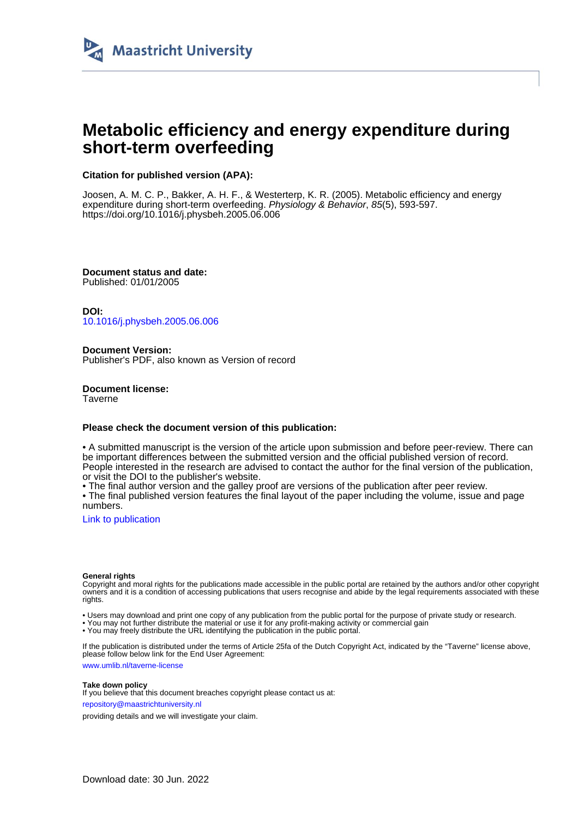

# **Metabolic efficiency and energy expenditure during short-term overfeeding**

## **Citation for published version (APA):**

Joosen, A. M. C. P., Bakker, A. H. F., & Westerterp, K. R. (2005). Metabolic efficiency and energy expenditure during short-term overfeeding. Physiology & Behavior, 85(5), 593-597. <https://doi.org/10.1016/j.physbeh.2005.06.006>

**Document status and date:** Published: 01/01/2005

**DOI:** [10.1016/j.physbeh.2005.06.006](https://doi.org/10.1016/j.physbeh.2005.06.006)

**Document Version:** Publisher's PDF, also known as Version of record

**Document license: Taverne** 

## **Please check the document version of this publication:**

• A submitted manuscript is the version of the article upon submission and before peer-review. There can be important differences between the submitted version and the official published version of record. People interested in the research are advised to contact the author for the final version of the publication, or visit the DOI to the publisher's website.

• The final author version and the galley proof are versions of the publication after peer review.

• The final published version features the final layout of the paper including the volume, issue and page numbers.

[Link to publication](https://cris.maastrichtuniversity.nl/en/publications/723e3537-a4d3-47f3-be86-bcacdf0b11e0)

#### **General rights**

Copyright and moral rights for the publications made accessible in the public portal are retained by the authors and/or other copyright owners and it is a condition of accessing publications that users recognise and abide by the legal requirements associated with these rights.

• Users may download and print one copy of any publication from the public portal for the purpose of private study or research.

• You may not further distribute the material or use it for any profit-making activity or commercial gain

• You may freely distribute the URL identifying the publication in the public portal.

If the publication is distributed under the terms of Article 25fa of the Dutch Copyright Act, indicated by the "Taverne" license above, please follow below link for the End User Agreement:

www.umlib.nl/taverne-license

#### **Take down policy**

If you believe that this document breaches copyright please contact us at: repository@maastrichtuniversity.nl

providing details and we will investigate your claim.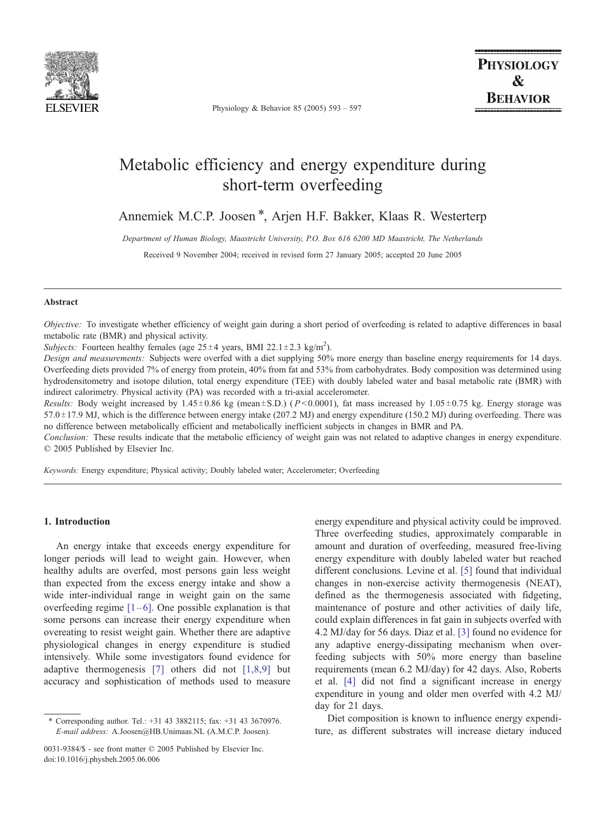

Physiology & Behavior 85 (2005) 593 – 597

# Metabolic efficiency and energy expenditure during short-term overfeeding

Annemiek M.C.P. Joosen \*, Arjen H.F. Bakker, Klaas R. Westerterp

Department of Human Biology, Maastricht University, P.O. Box 616 6200 MD Maastricht, The Netherlands

Received 9 November 2004; received in revised form 27 January 2005; accepted 20 June 2005

#### Abstract

Objective: To investigate whether efficiency of weight gain during a short period of overfeeding is related to adaptive differences in basal metabolic rate (BMR) and physical activity.

Subjects: Fourteen healthy females (age  $25 \pm 4$  years, BMI 22.1 $\pm$ 2.3 kg/m<sup>2</sup>).

Design and measurements: Subjects were overfed with a diet supplying 50% more energy than baseline energy requirements for 14 days. Overfeeding diets provided 7% of energy from protein, 40% from fat and 53% from carbohydrates. Body composition was determined using hydrodensitometry and isotope dilution, total energy expenditure (TEE) with doubly labeled water and basal metabolic rate (BMR) with indirect calorimetry. Physical activity (PA) was recorded with a tri-axial accelerometer.

Results: Body weight increased by 1.45±0.86 kg (mean±S.D.) ( $P < 0.0001$ ), fat mass increased by 1.05±0.75 kg. Energy storage was  $57.0 \pm 17.9$  MJ, which is the difference between energy intake (207.2 MJ) and energy expenditure (150.2 MJ) during overfeeding. There was no difference between metabolically efficient and metabolically inefficient subjects in changes in BMR and PA.

Conclusion: These results indicate that the metabolic efficiency of weight gain was not related to adaptive changes in energy expenditure.  $© 2005$  Published by Elsevier Inc.

Keywords: Energy expenditure; Physical activity; Doubly labeled water; Accelerometer; Overfeeding

## 1. Introduction

An energy intake that exceeds energy expenditure for longer periods will lead to weight gain. However, when healthy adults are overfed, most persons gain less weight than expected from the excess energy intake and show a wide inter-individual range in weight gain on the same overfeeding regime  $[1-6]$ . One possible explanation is that some persons can increase their energy expenditure when overeating to resist weight gain. Whether there are adaptive physiological changes in energy expenditure is studied intensively. While some investigators found evidence for adaptive thermogenesis [\[7\]](#page-5-0) others did not [\[1,8,9\]](#page-5-0) but accuracy and sophistication of methods used to measure

energy expenditure and physical activity could be improved. Three overfeeding studies, approximately comparable in amount and duration of overfeeding, measured free-living energy expenditure with doubly labeled water but reached different conclusions. Levine et al. [\[5\]](#page-5-0) found that individual changes in non-exercise activity thermogenesis (NEAT), defined as the thermogenesis associated with fidgeting, maintenance of posture and other activities of daily life, could explain differences in fat gain in subjects overfed with 4.2 MJ/day for 56 days. Diaz et al. [\[3\]](#page-5-0) found no evidence for any adaptive energy-dissipating mechanism when overfeeding subjects with 50% more energy than baseline requirements (mean 6.2 MJ/day) for 42 days. Also, Roberts et al. [\[4\]](#page-5-0) did not find a significant increase in energy expenditure in young and older men overfed with 4.2 MJ/ day for 21 days.

Diet composition is known to influence energy expenditure, as different substrates will increase dietary induced

<sup>\*</sup> Corresponding author. Tel.: +31 43 3882115; fax: +31 43 3670976. E-mail address: A.Joosen@HB.Unimaas.NL (A.M.C.P. Joosen).

<sup>0031-9384/\$ -</sup> see front matter © 2005 Published by Elsevier Inc. doi:10.1016/j.physbeh.2005.06.006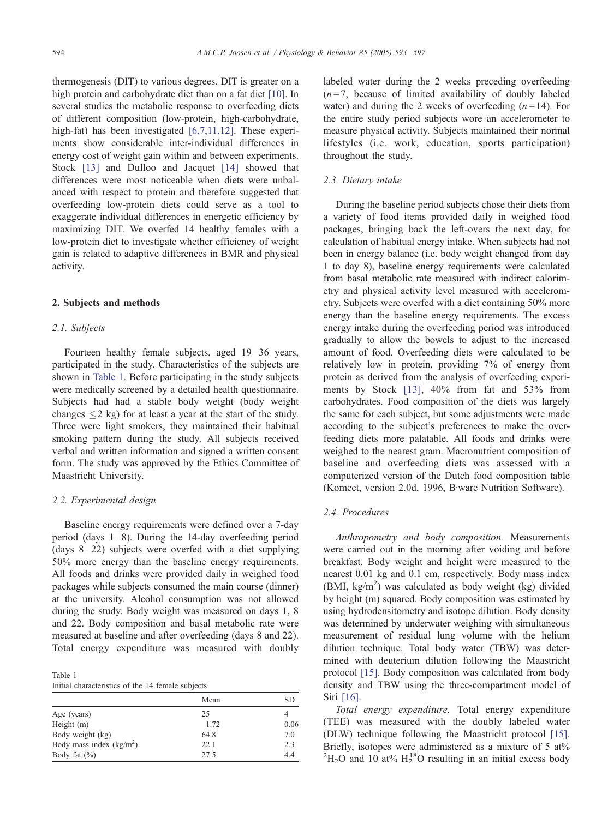thermogenesis (DIT) to various degrees. DIT is greater on a high protein and carbohydrate diet than on a fat diet [\[10\]](#page-5-0). In several studies the metabolic response to overfeeding diets of different composition (low-protein, high-carbohydrate, high-fat) has been investigated [\[6,7,11,12\].](#page-5-0) These experiments show considerable inter-individual differences in energy cost of weight gain within and between experiments. Stock [\[13\]](#page-5-0) and Dulloo and Jacquet [\[14\]](#page-5-0) showed that differences were most noticeable when diets were unbalanced with respect to protein and therefore suggested that overfeeding low-protein diets could serve as a tool to exaggerate individual differences in energetic efficiency by maximizing DIT. We overfed 14 healthy females with a low-protein diet to investigate whether efficiency of weight gain is related to adaptive differences in BMR and physical activity.

#### 2. Subjects and methods

#### 2.1. Subjects

Fourteen healthy female subjects, aged 19-36 years, participated in the study. Characteristics of the subjects are shown in Table 1. Before participating in the study subjects were medically screened by a detailed health questionnaire. Subjects had had a stable body weight (body weight changes  $\leq 2$  kg) for at least a year at the start of the study. Three were light smokers, they maintained their habitual smoking pattern during the study. All subjects received verbal and written information and signed a written consent form. The study was approved by the Ethics Committee of Maastricht University.

#### 2.2. Experimental design

Baseline energy requirements were defined over a 7-day period (days  $1-8$ ). During the 14-day overfeeding period (days  $8-22$ ) subjects were overfed with a diet supplying 50% more energy than the baseline energy requirements. All foods and drinks were provided daily in weighed food packages while subjects consumed the main course (dinner) at the university. Alcohol consumption was not allowed during the study. Body weight was measured on days 1, 8 and 22. Body composition and basal metabolic rate were measured at baseline and after overfeeding (days 8 and 22). Total energy expenditure was measured with doubly

Table 1 Initial characteristics of the 14 female subjects

|                           | Mean | SD.  |
|---------------------------|------|------|
| Age (years)               | 25   | 4    |
| Height $(m)$              | 1.72 | 0.06 |
| Body weight (kg)          | 64.8 | 7.0  |
| Body mass index $(kg/m2)$ | 22.1 | 2.3  |
| Body fat $(\% )$          | 27.5 | 4.4  |

labeled water during the 2 weeks preceding overfeeding  $(n=7,$  because of limited availability of doubly labeled water) and during the 2 weeks of overfeeding  $(n=14)$ . For the entire study period subjects wore an accelerometer to measure physical activity. Subjects maintained their normal lifestyles (i.e. work, education, sports participation) throughout the study.

## 2.3. Dietary intake

During the baseline period subjects chose their diets from a variety of food items provided daily in weighed food packages, bringing back the left-overs the next day, for calculation of habitual energy intake. When subjects had not been in energy balance (i.e. body weight changed from day 1 to day 8), baseline energy requirements were calculated from basal metabolic rate measured with indirect calorimetry and physical activity level measured with accelerometry. Subjects were overfed with a diet containing 50% more energy than the baseline energy requirements. The excess energy intake during the overfeeding period was introduced gradually to allow the bowels to adjust to the increased amount of food. Overfeeding diets were calculated to be relatively low in protein, providing 7% of energy from protein as derived from the analysis of overfeeding experiments by Stock [\[13\]](#page-5-0), 40% from fat and 53% from carbohydrates. Food composition of the diets was largely the same for each subject, but some adjustments were made according to the subject's preferences to make the overfeeding diets more palatable. All foods and drinks were weighed to the nearest gram. Macronutrient composition of baseline and overfeeding diets was assessed with a computerized version of the Dutch food composition table (Komeet, version 2.0d, 1996, B ware Nutrition Software).

## 2.4. Procedures

Anthropometry and body composition. Measurements were carried out in the morning after voiding and before breakfast. Body weight and height were measured to the nearest 0.01 kg and 0.1 cm, respectively. Body mass index (BMI, kg/m<sup>2</sup>) was calculated as body weight (kg) divided by height (m) squared. Body composition was estimated by using hydrodensitometry and isotope dilution. Body density was determined by underwater weighing with simultaneous measurement of residual lung volume with the helium dilution technique. Total body water (TBW) was determined with deuterium dilution following the Maastricht protocol [\[15\]](#page-5-0). Body composition was calculated from body density and TBW using the three-compartment model of Siri [\[16\]](#page-5-0).

Total energy expenditure. Total energy expenditure (TEE) was measured with the doubly labeled water (DLW) technique following the Maastricht protocol [\[15\]](#page-5-0). Briefly, isotopes were administered as a mixture of 5 at%  ${}^{2}H_{2}O$  and 10 at%  $H_{2}^{18}O$  resulting in an initial excess body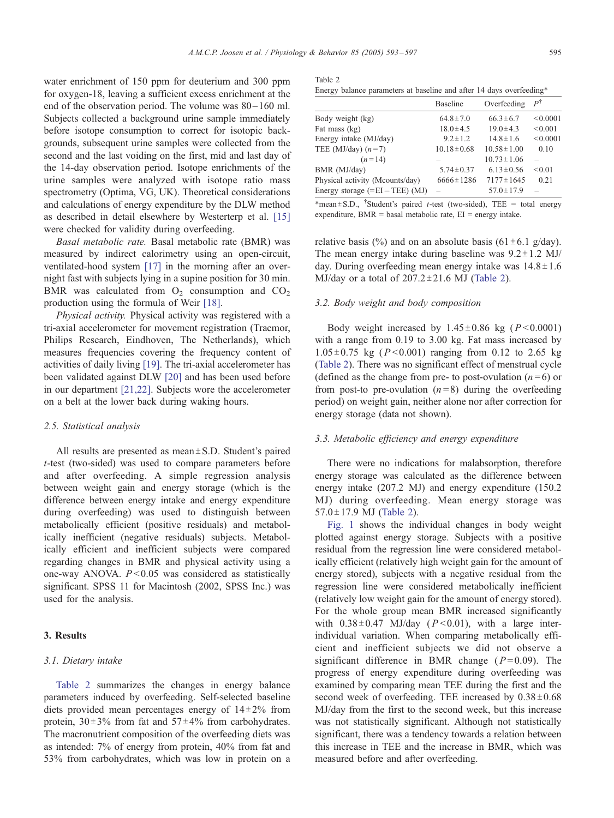$\mathsf{T}$ 

water enrichment of 150 ppm for deuterium and 300 ppm for oxygen-18, leaving a sufficient excess enrichment at the end of the observation period. The volume was  $80 - 160$  ml. Subjects collected a background urine sample immediately before isotope consumption to correct for isotopic backgrounds, subsequent urine samples were collected from the second and the last voiding on the first, mid and last day of the 14-day observation period. Isotope enrichments of the urine samples were analyzed with isotope ratio mass spectrometry (Optima, VG, UK). Theoretical considerations and calculations of energy expenditure by the DLW method as described in detail elsewhere by Westerterp et al. [\[15\]](#page-5-0) were checked for validity during overfeeding.

Basal metabolic rate. Basal metabolic rate (BMR) was measured by indirect calorimetry using an open-circuit, ventilated-hood system [\[17\]](#page-5-0) in the morning after an overnight fast with subjects lying in a supine position for 30 min. BMR was calculated from  $O_2$  consumption and  $CO_2$ production using the formula of Weir [\[18\].](#page-5-0)

Physical activity. Physical activity was registered with a tri-axial accelerometer for movement registration (Tracmor, Philips Research, Eindhoven, The Netherlands), which measures frequencies covering the frequency content of activities of daily living [\[19\].](#page-5-0) The tri-axial accelerometer has been validated against DLW [\[20\]](#page-5-0) and has been used before in our department [\[21,22\].](#page-5-0) Subjects wore the accelerometer on a belt at the lower back during waking hours.

#### 2.5. Statistical analysis

All results are presented as mean $\pm$ S.D. Student's paired t-test (two-sided) was used to compare parameters before and after overfeeding. A simple regression analysis between weight gain and energy storage (which is the difference between energy intake and energy expenditure during overfeeding) was used to distinguish between metabolically efficient (positive residuals) and metabolically inefficient (negative residuals) subjects. Metabolically efficient and inefficient subjects were compared regarding changes in BMR and physical activity using a one-way ANOVA.  $P < 0.05$  was considered as statistically significant. SPSS 11 for Macintosh (2002, SPSS Inc.) was used for the analysis.

## 3. Results

## 3.1. Dietary intake

Table 2 summarizes the changes in energy balance parameters induced by overfeeding. Self-selected baseline diets provided mean percentages energy of  $14\pm2\%$  from protein,  $30\pm3\%$  from fat and  $57\pm4\%$  from carbohydrates. The macronutrient composition of the overfeeding diets was as intended: 7% of energy from protein, 40% from fat and 53% from carbohydrates, which was low in protein on a

| Table 2 |                                                                      |  |  |  |  |
|---------|----------------------------------------------------------------------|--|--|--|--|
|         | Energy balance parameters at baseline and after 14 days overfeeding* |  |  |  |  |

|                                   | <b>Baseline</b>  | Overfeeding      | $P^{\dagger}$ |
|-----------------------------------|------------------|------------------|---------------|
| Body weight (kg)                  | $64.8 \pm 7.0$   | $66.3 \pm 6.7$   | < 0.0001      |
| Fat mass (kg)                     | $18.0 \pm 4.5$   | $19.0 \pm 4.3$   | < 0.001       |
| Energy intake (MJ/day)            | $9.2 \pm 1.2$    | $14.8 \pm 1.6$   | < 0.0001      |
| TEE (MJ/day) $(n=7)$              | $10.18 \pm 0.68$ | $10.58 \pm 1.00$ | 0.10          |
| $(n=14)$                          |                  | $10.73 \pm 1.06$ |               |
| BMR (MJ/day)                      | $5.74 \pm 0.37$  | $6.13 \pm 0.56$  | < 0.01        |
| Physical activity (Mcounts/day)   | $6666 \pm 1286$  | $7177 \pm 1645$  | 0.21          |
| Energy storage $(=EI - TEE)$ (MJ) |                  | $57.0 \pm 17.9$  |               |
|                                   |                  |                  |               |

 $*\text{mean} \pm \text{S.D.},$  'Student's paired t-test (two-sided), TEE = total energy expenditure,  $BMR =$  basal metabolic rate,  $EI =$  energy intake.

relative basis (%) and on an absolute basis (61 $\pm$ 6.1 g/day). The mean energy intake during baseline was  $9.2 \pm 1.2$  MJ/ day. During overfeeding mean energy intake was  $14.8 \pm 1.6$ MJ/day or a total of  $207.2 \pm 21.6$  MJ (Table 2).

## 3.2. Body weight and body composition

Body weight increased by  $1.45 \pm 0.86$  kg ( $P < 0.0001$ ) with a range from 0.19 to 3.00 kg. Fat mass increased by  $1.05\pm0.75$  kg ( $P < 0.001$ ) ranging from 0.12 to 2.65 kg (Table 2). There was no significant effect of menstrual cycle (defined as the change from pre- to post-ovulation  $(n=6)$  or from post-to pre-ovulation  $(n=8)$  during the overfeeding period) on weight gain, neither alone nor after correction for energy storage (data not shown).

#### 3.3. Metabolic efficiency and energy expenditure

There were no indications for malabsorption, therefore energy storage was calculated as the difference between energy intake (207.2 MJ) and energy expenditure (150.2 MJ) during overfeeding. Mean energy storage was  $57.0 \pm 17.9$  MJ (Table 2).

[Fig. 1](#page-4-0) shows the individual changes in body weight plotted against energy storage. Subjects with a positive residual from the regression line were considered metabolically efficient (relatively high weight gain for the amount of energy stored), subjects with a negative residual from the regression line were considered metabolically inefficient (relatively low weight gain for the amount of energy stored). For the whole group mean BMR increased significantly with  $0.38 \pm 0.47$  MJ/day ( $P < 0.01$ ), with a large interindividual variation. When comparing metabolically efficient and inefficient subjects we did not observe a significant difference in BMR change  $(P=0.09)$ . The progress of energy expenditure during overfeeding was examined by comparing mean TEE during the first and the second week of overfeeding. TEE increased by  $0.38 \pm 0.68$ MJ/day from the first to the second week, but this increase was not statistically significant. Although not statistically significant, there was a tendency towards a relation between this increase in TEE and the increase in BMR, which was measured before and after overfeeding.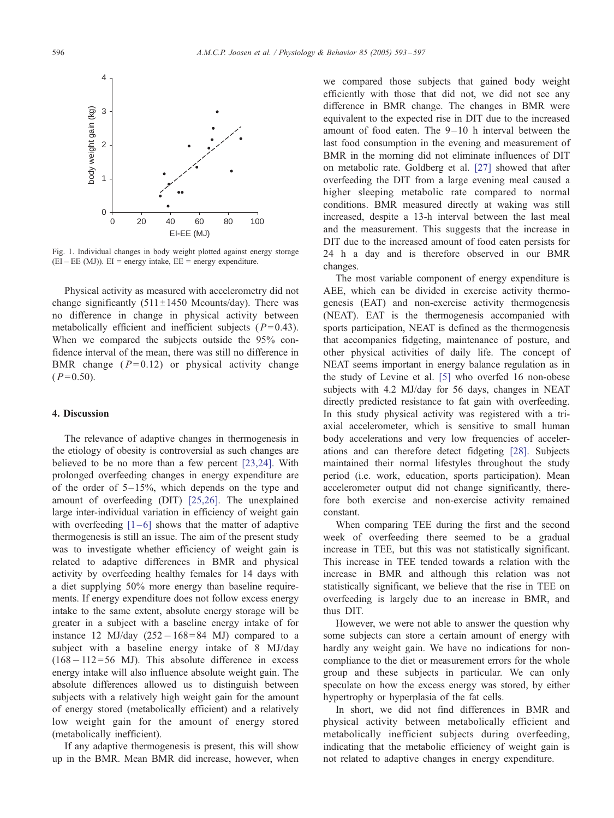<span id="page-4-0"></span>

Fig. 1. Individual changes in body weight plotted against energy storage  $(EI - EE (MJ))$ .  $EI$  = energy intake,  $EE$  = energy expenditure.

Physical activity as measured with accelerometry did not change significantly  $(511 \pm 1450$  Mcounts/day). There was no difference in change in physical activity between metabolically efficient and inefficient subjects ( $P= 0.43$ ). When we compared the subjects outside the 95% confidence interval of the mean, there was still no difference in BMR change  $(P=0.12)$  or physical activity change  $(P= 0.50)$ .

#### 4. Discussion

The relevance of adaptive changes in thermogenesis in the etiology of obesity is controversial as such changes are believed to be no more than a few percent [\[23,24\]](#page-5-0). With prolonged overfeeding changes in energy expenditure are of the order of  $5-15\%$ , which depends on the type and amount of overfeeding (DIT) [\[25,26\]](#page-5-0). The unexplained large inter-individual variation in efficiency of weight gain with overfeeding  $[1-6]$  shows that the matter of adaptive thermogenesis is still an issue. The aim of the present study was to investigate whether efficiency of weight gain is related to adaptive differences in BMR and physical activity by overfeeding healthy females for 14 days with a diet supplying 50% more energy than baseline requirements. If energy expenditure does not follow excess energy intake to the same extent, absolute energy storage will be greater in a subject with a baseline energy intake of for instance 12 MJ/day  $(252 - 168 = 84$  MJ) compared to a subject with a baseline energy intake of 8 MJ/day  $(168 - 112 = 56$  MJ). This absolute difference in excess energy intake will also influence absolute weight gain. The absolute differences allowed us to distinguish between subjects with a relatively high weight gain for the amount of energy stored (metabolically efficient) and a relatively low weight gain for the amount of energy stored (metabolically inefficient).

If any adaptive thermogenesis is present, this will show up in the BMR. Mean BMR did increase, however, when

we compared those subjects that gained body weight efficiently with those that did not, we did not see any difference in BMR change. The changes in BMR were equivalent to the expected rise in DIT due to the increased amount of food eaten. The  $9-10$  h interval between the last food consumption in the evening and measurement of BMR in the morning did not eliminate influences of DIT on metabolic rate. Goldberg et al. [\[27\]](#page-5-0) showed that after overfeeding the DIT from a large evening meal caused a higher sleeping metabolic rate compared to normal conditions. BMR measured directly at waking was still increased, despite a 13-h interval between the last meal and the measurement. This suggests that the increase in DIT due to the increased amount of food eaten persists for 24 h a day and is therefore observed in our BMR changes.

The most variable component of energy expenditure is AEE, which can be divided in exercise activity thermogenesis (EAT) and non-exercise activity thermogenesis (NEAT). EAT is the thermogenesis accompanied with sports participation, NEAT is defined as the thermogenesis that accompanies fidgeting, maintenance of posture, and other physical activities of daily life. The concept of NEAT seems important in energy balance regulation as in the study of Levine et al. [\[5\]](#page-5-0) who overfed 16 non-obese subjects with 4.2 MJ/day for 56 days, changes in NEAT directly predicted resistance to fat gain with overfeeding. In this study physical activity was registered with a triaxial accelerometer, which is sensitive to small human body accelerations and very low frequencies of accelerations and can therefore detect fidgeting [\[28\]](#page-5-0). Subjects maintained their normal lifestyles throughout the study period (i.e. work, education, sports participation). Mean accelerometer output did not change significantly, therefore both exercise and non-exercise activity remained constant.

When comparing TEE during the first and the second week of overfeeding there seemed to be a gradual increase in TEE, but this was not statistically significant. This increase in TEE tended towards a relation with the increase in BMR and although this relation was not statistically significant, we believe that the rise in TEE on overfeeding is largely due to an increase in BMR, and thus DIT.

However, we were not able to answer the question why some subjects can store a certain amount of energy with hardly any weight gain. We have no indications for noncompliance to the diet or measurement errors for the whole group and these subjects in particular. We can only speculate on how the excess energy was stored, by either hypertrophy or hyperplasia of the fat cells.

In short, we did not find differences in BMR and physical activity between metabolically efficient and metabolically inefficient subjects during overfeeding, indicating that the metabolic efficiency of weight gain is not related to adaptive changes in energy expenditure.